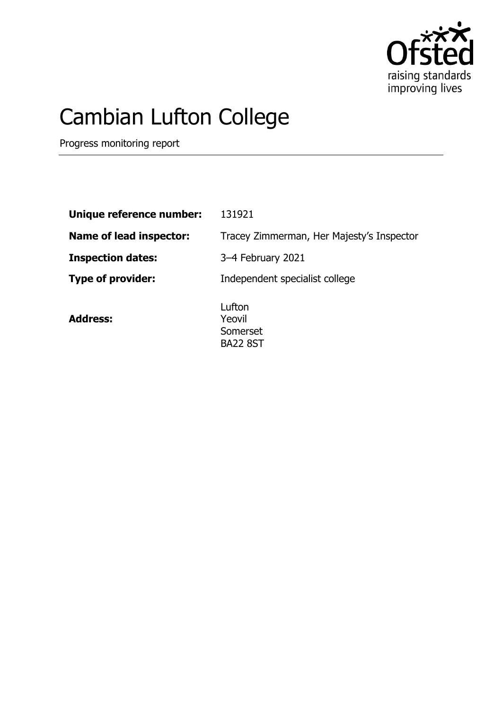

## Cambian Lufton College

Progress monitoring report

| Unique reference number:       | 131921                                    |
|--------------------------------|-------------------------------------------|
| <b>Name of lead inspector:</b> | Tracey Zimmerman, Her Majesty's Inspector |
| <b>Inspection dates:</b>       | 3-4 February 2021                         |
| <b>Type of provider:</b>       | Independent specialist college            |
| <b>Address:</b>                | Lufton<br>Yeovil                          |

Somerset BA22 8ST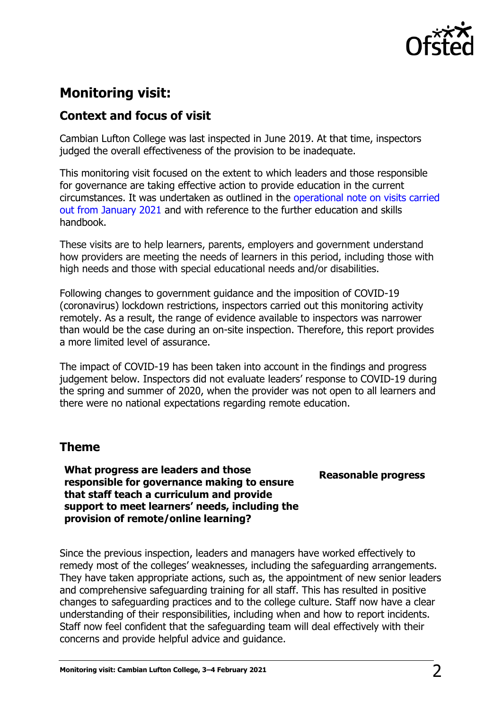

## **Monitoring visit:**

## **Context and focus of visit**

Cambian Lufton College was last inspected in June 2019. At that time, inspectors judged the overall effectiveness of the provision to be inadequate.

This monitoring visit focused on the extent to which leaders and those responsible for governance are taking effective action to provide education in the current circumstances. It was undertaken as outlined in the [operational note on visits carried](https://www.gov.uk/guidance/january-2021-further-education-and-skills-providers)  [out from January 2021](https://www.gov.uk/guidance/january-2021-further-education-and-skills-providers) and with reference to the further education and skills handbook.

These visits are to help learners, parents, employers and government understand how providers are meeting the needs of learners in this period, including those with high needs and those with special educational needs and/or disabilities.

Following changes to government guidance and the imposition of COVID-19 (coronavirus) lockdown restrictions, inspectors carried out this monitoring activity remotely. As a result, the range of evidence available to inspectors was narrower than would be the case during an on-site inspection. Therefore, this report provides a more limited level of assurance.

The impact of COVID-19 has been taken into account in the findings and progress judgement below. Inspectors did not evaluate leaders' response to COVID-19 during the spring and summer of 2020, when the provider was not open to all learners and there were no national expectations regarding remote education.

## **Theme**

**What progress are leaders and those responsible for governance making to ensure that staff teach a curriculum and provide support to meet learners' needs, including the provision of remote/online learning?**

**Reasonable progress**

Since the previous inspection, leaders and managers have worked effectively to remedy most of the colleges' weaknesses, including the safeguarding arrangements. They have taken appropriate actions, such as, the appointment of new senior leaders and comprehensive safeguarding training for all staff. This has resulted in positive changes to safeguarding practices and to the college culture. Staff now have a clear understanding of their responsibilities, including when and how to report incidents. Staff now feel confident that the safeguarding team will deal effectively with their concerns and provide helpful advice and guidance.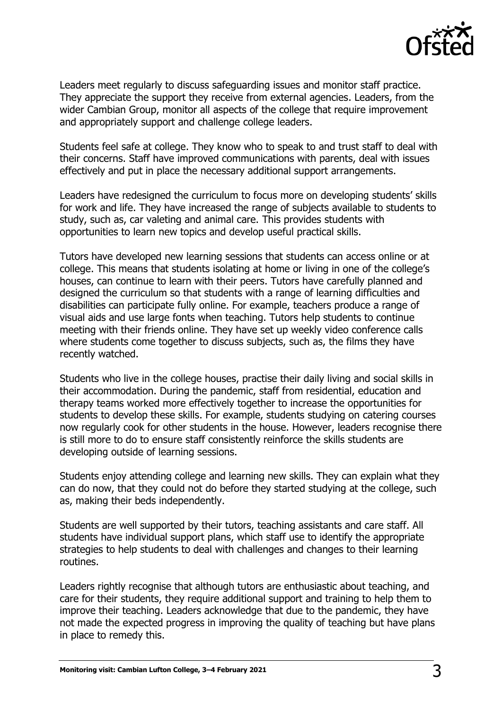

Leaders meet regularly to discuss safeguarding issues and monitor staff practice. They appreciate the support they receive from external agencies. Leaders, from the wider Cambian Group, monitor all aspects of the college that require improvement and appropriately support and challenge college leaders.

Students feel safe at college. They know who to speak to and trust staff to deal with their concerns. Staff have improved communications with parents, deal with issues effectively and put in place the necessary additional support arrangements.

Leaders have redesigned the curriculum to focus more on developing students' skills for work and life. They have increased the range of subjects available to students to study, such as, car valeting and animal care. This provides students with opportunities to learn new topics and develop useful practical skills.

Tutors have developed new learning sessions that students can access online or at college. This means that students isolating at home or living in one of the college's houses, can continue to learn with their peers. Tutors have carefully planned and designed the curriculum so that students with a range of learning difficulties and disabilities can participate fully online. For example, teachers produce a range of visual aids and use large fonts when teaching. Tutors help students to continue meeting with their friends online. They have set up weekly video conference calls where students come together to discuss subjects, such as, the films they have recently watched.

Students who live in the college houses, practise their daily living and social skills in their accommodation. During the pandemic, staff from residential, education and therapy teams worked more effectively together to increase the opportunities for students to develop these skills. For example, students studying on catering courses now regularly cook for other students in the house. However, leaders recognise there is still more to do to ensure staff consistently reinforce the skills students are developing outside of learning sessions.

Students enjoy attending college and learning new skills. They can explain what they can do now, that they could not do before they started studying at the college, such as, making their beds independently.

Students are well supported by their tutors, teaching assistants and care staff. All students have individual support plans, which staff use to identify the appropriate strategies to help students to deal with challenges and changes to their learning routines.

Leaders rightly recognise that although tutors are enthusiastic about teaching, and care for their students, they require additional support and training to help them to improve their teaching. Leaders acknowledge that due to the pandemic, they have not made the expected progress in improving the quality of teaching but have plans in place to remedy this.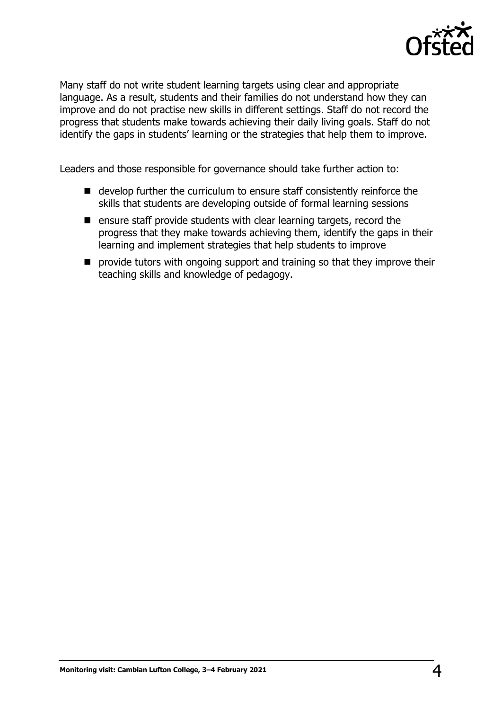

Many staff do not write student learning targets using clear and appropriate language. As a result, students and their families do not understand how they can improve and do not practise new skills in different settings. Staff do not record the progress that students make towards achieving their daily living goals. Staff do not identify the gaps in students' learning or the strategies that help them to improve.

Leaders and those responsible for governance should take further action to:

- develop further the curriculum to ensure staff consistently reinforce the skills that students are developing outside of formal learning sessions
- $\blacksquare$  ensure staff provide students with clear learning targets, record the progress that they make towards achieving them, identify the gaps in their learning and implement strategies that help students to improve
- **P** provide tutors with ongoing support and training so that they improve their teaching skills and knowledge of pedagogy.